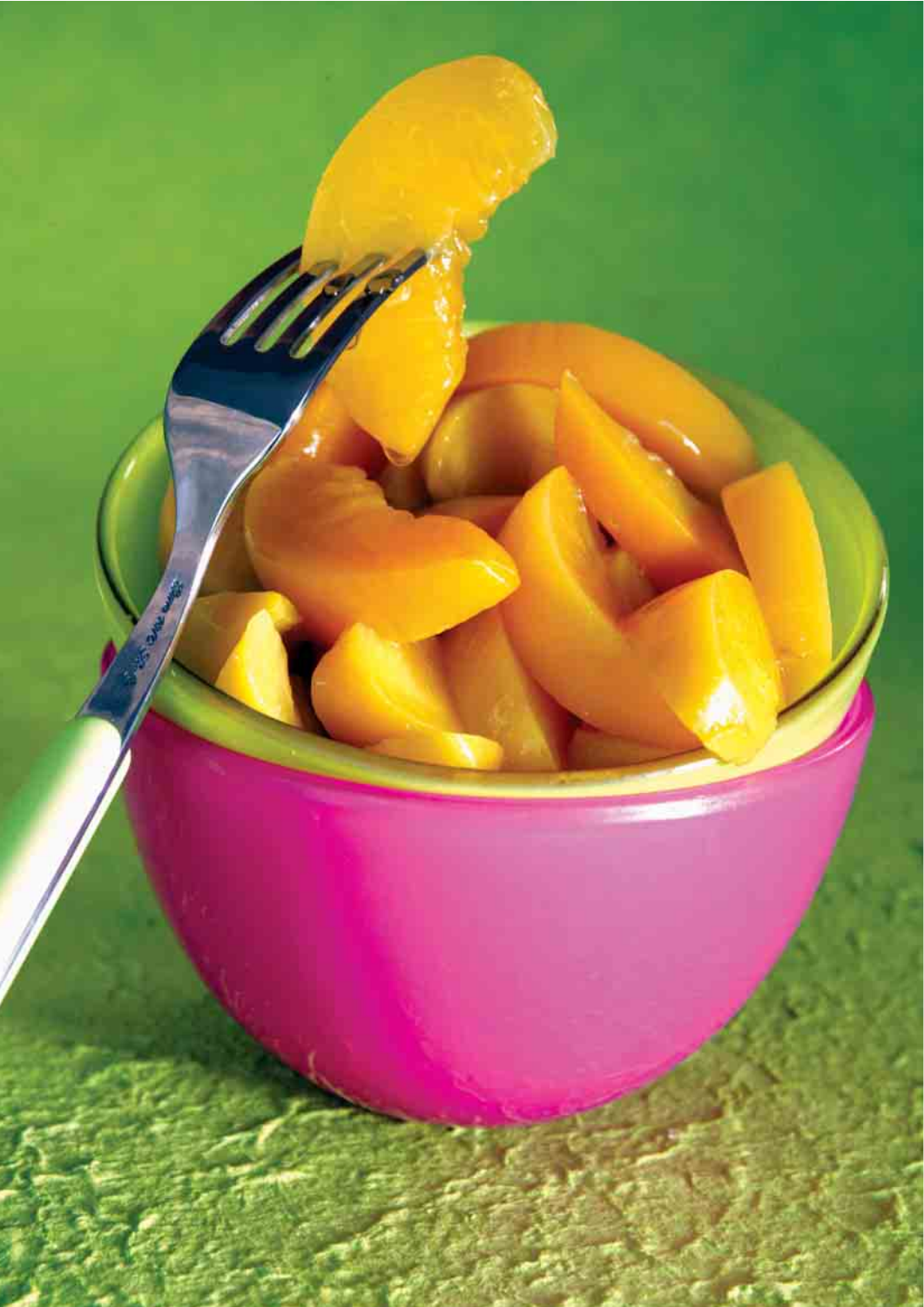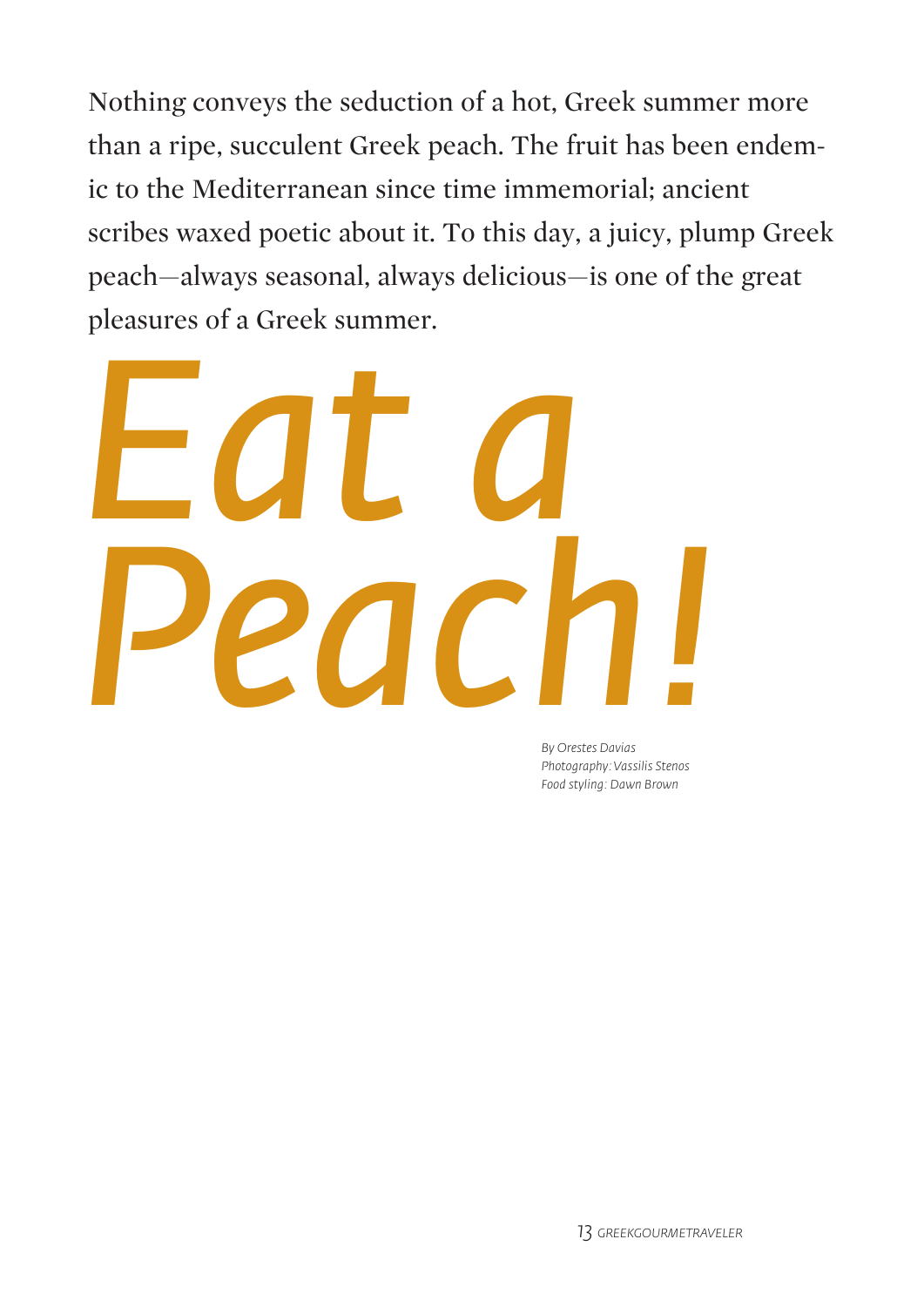Nothing conveys the seduction of a hot, Greek summer more than a ripe, succulent Greek peach. The fruit has been endemic to the Mediterranean since time immemorial; ancient scribes waxed poetic about it. To this day, a juicy, plump Greek peach—always seasonal, always delicious—is one of the great pleasures of a Greek summer.



*By Orestes Davias Photography: Vassilis Stenos Food styling: Dawn Brown*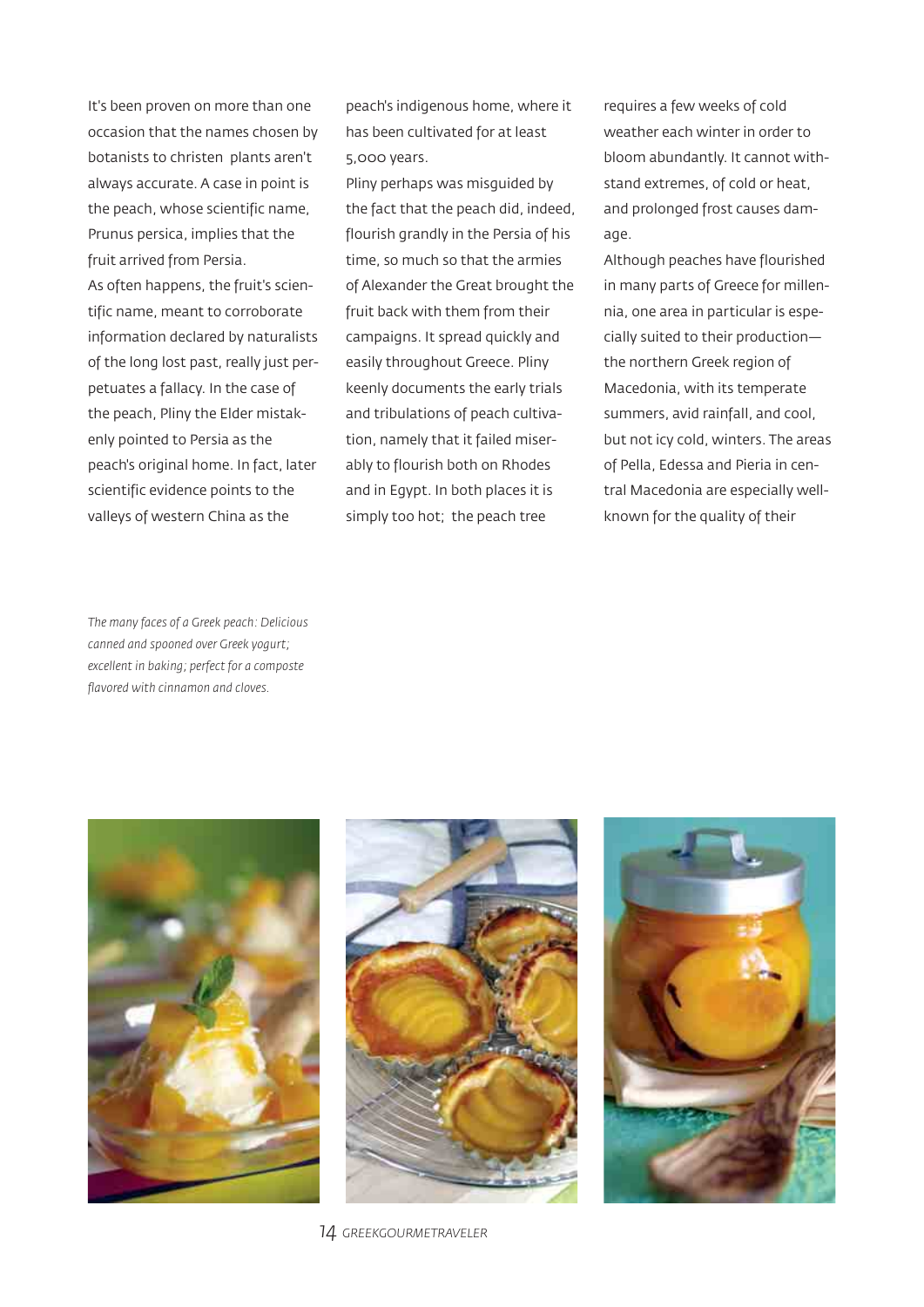It's been proven on more than one occasion that the names chosen by botanists to christen plants aren't always accurate. A case in point is the peach, whose scientific name, Prunus persica, implies that the fruit arrived from Persia.

As often happens, the fruit's scientific name, meant to corroborate information declared by naturalists of the long lost past, really just perpetuates a fallacy. In the case of the peach, Pliny the Elder mistakenly pointed to Persia as the peach's original home. In fact, later scientific evidence points to the valleys of western China as the

*The many faces of a Greek peach: Delicious canned and spooned over Greek yogurt; excellent in baking; perfect for a composte flavored with cinnamon and cloves.*

peach's indigenous home, where it has been cultivated for at least 5,000 years.

Pliny perhaps was misguided by the fact that the peach did, indeed, flourish grandly in the Persia of his time, so much so that the armies of Alexander the Great brought the fruit back with them from their campaigns. It spread quickly and easily throughout Greece. Pliny keenly documents the early trials and tribulations of peach cultivation, namely that it failed miserably to flourish both on Rhodes and in Egypt. In both places it is simply too hot; the peach tree

requires a few weeks of cold weather each winter in order to bloom abundantly. It cannot withstand extremes, of cold or heat, and prolonged frost causes damage.

Although peaches have flourished in many parts of Greece for millennia, one area in particular is especially suited to their production the northern Greek region of Macedonia, with its temperate summers, avid rainfall, and cool, but not icy cold, winters. The areas of Pella, Edessa and Pieria in central Macedonia are especially wellknown for the quality of their





*14 GREEKGOURMETRAVELER*

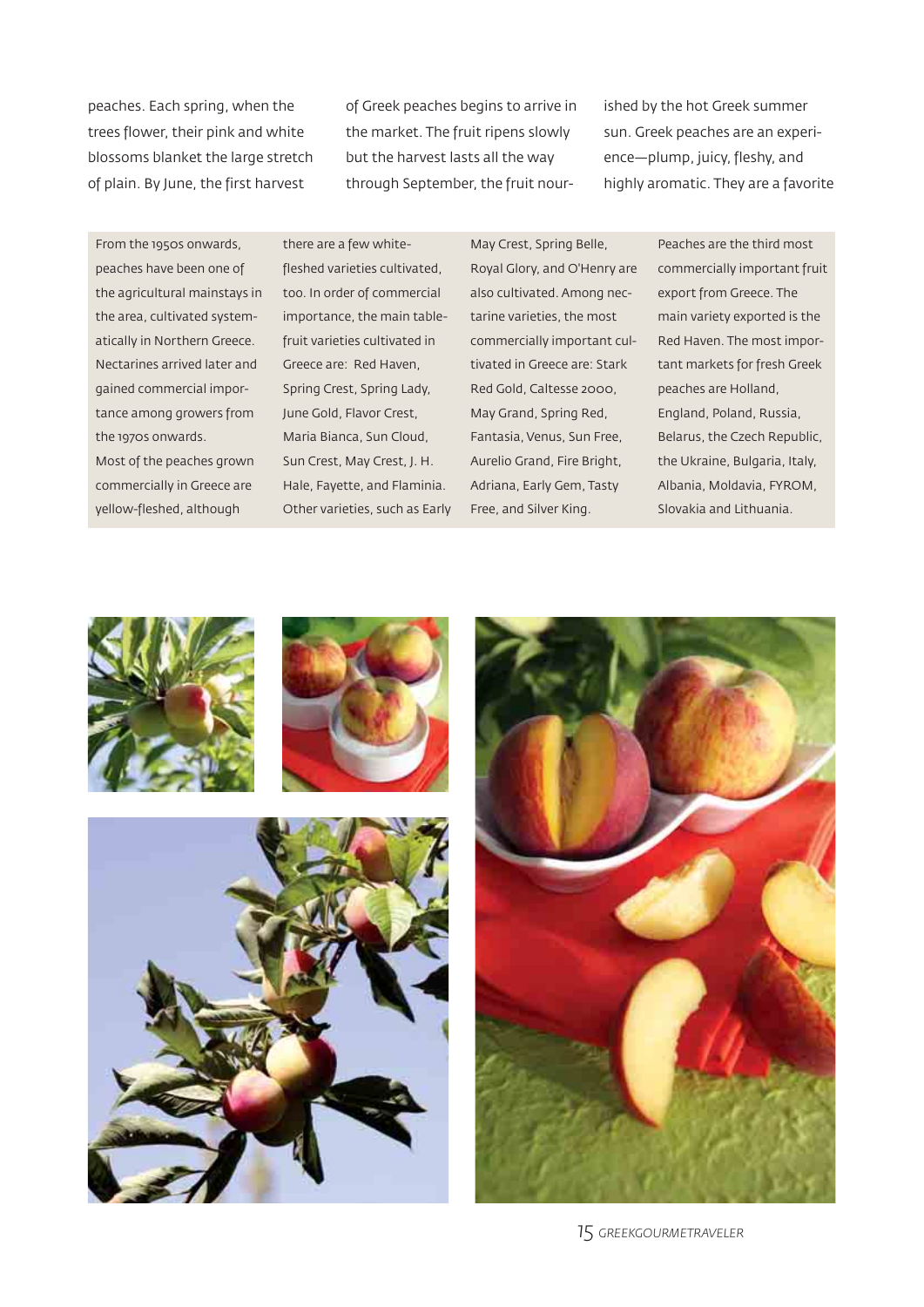peaches. Each spring, when the trees flower, their pink and white blossoms blanket the large stretch of plain. By June, the first harvest

of Greek peaches begins to arrive in the market. The fruit ripens slowly but the harvest lasts all the way through September, the fruit nourished by the hot Greek summer sun. Greek peaches are an experience—plump, juicy, fleshy, and highly aromatic. They are a favorite

From the 1950s onwards, peaches have been one of the agricultural mainstays in the area, cultivated systematically in Northern Greece. Nectarines arrived later and gained commercial importance among growers from the 1970s onwards. Most of the peaches grown commercially in Greece are yellow-fleshed, although

there are a few whitefleshed varieties cultivated, too. In order of commercial importance, the main tablefruit varieties cultivated in Greece are: Red Haven, Spring Crest, Spring Lady, June Gold, Flavor Crest, Maria Bianca, Sun Cloud, Sun Crest, May Crest, J. H. Hale, Fayette, and Flaminia. Other varieties, such as Early May Crest, Spring Belle, Royal Glory, and O'Henry are also cultivated. Among nectarine varieties, the most commercially important cultivated in Greece are: Stark Red Gold, Caltesse 2000, May Grand, Spring Red, Fantasia, Venus, Sun Free, Aurelio Grand, Fire Bright, Adriana, Early Gem, Tasty Free, and Silver King.

Peaches are the third most commercially important fruit export from Greece. The main variety exported is the Red Haven. The most important markets for fresh Greek peaches are Holland, England, Poland, Russia, Belarus, the Czech Republic, the Ukraine, Bulgaria, Italy, Albania, Moldavia, FYROM, Slovakia and Lithuania.







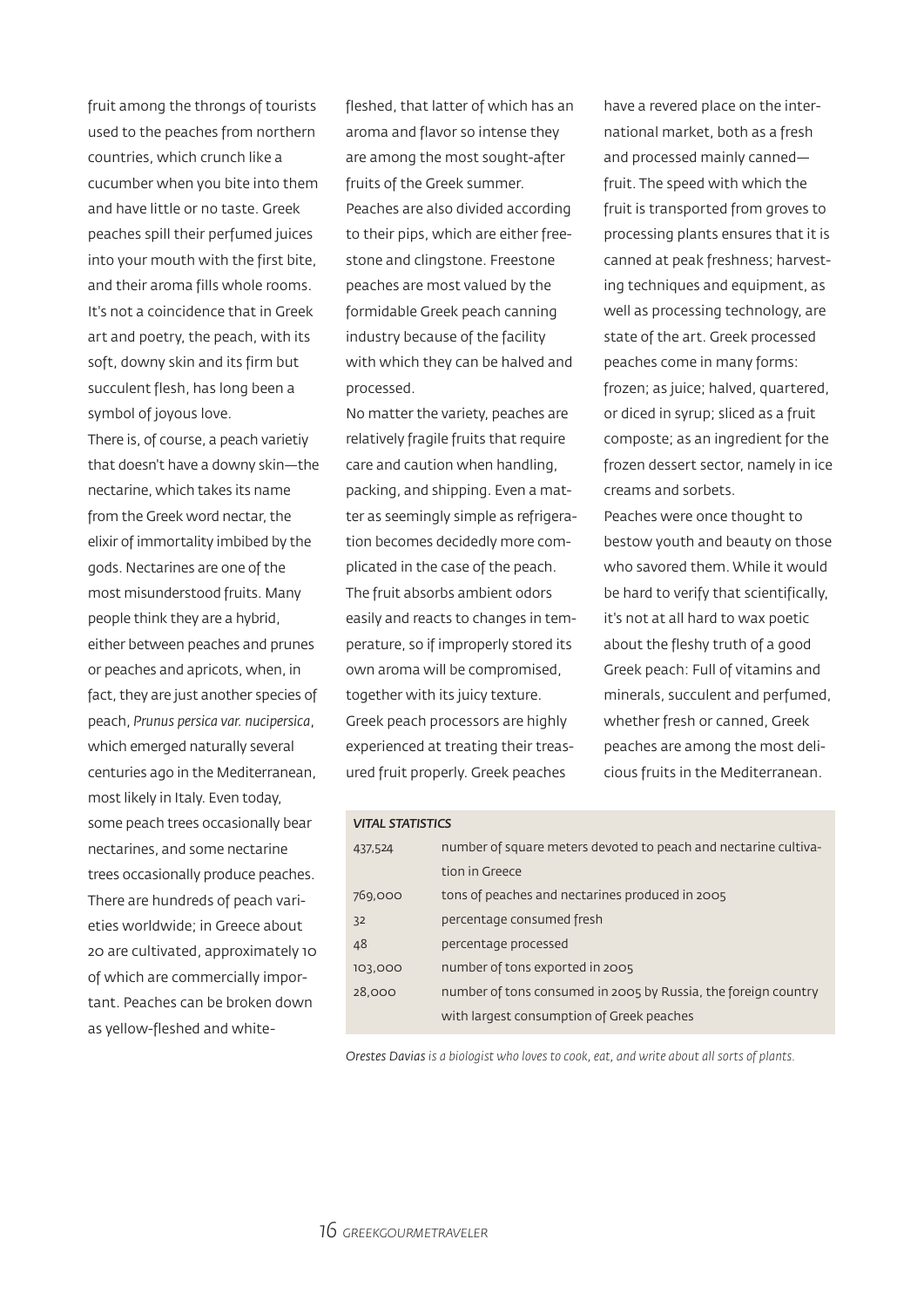fruit among the throngs of tourists used to the peaches from northern countries, which crunch like a cucumber when you bite into them and have little or no taste. Greek peaches spill their perfumed juices into your mouth with the first bite, and their aroma fills whole rooms. It's not a coincidence that in Greek art and poetry, the peach, with its soft, downy skin and its firm but succulent flesh, has long been a symbol of joyous love. There is, of course, a peach varietiy that doesn't have a downy skin—the nectarine, which takes its name from the Greek word nectar, the elixir of immortality imbibed by the gods. Nectarines are one of the most misunderstood fruits. Many people think they are a hybrid, either between peaches and prunes

or peaches and apricots, when, in fact, they are just another species of peach, *Prunus persica var. nucipersica*, which emerged naturally several centuries ago in the Mediterranean, most likely in Italy. Even today, some peach trees occasionally bear nectarines, and some nectarine trees occasionally produce peaches. There are hundreds of peach varieties worldwide; in Greece about 20 are cultivated, approximately 10 of which are commercially important. Peaches can be broken down as yellow-fleshed and whitefleshed, that latter of which has an aroma and flavor so intense they are among the most sought-after fruits of the Greek summer. Peaches are also divided according to their pips, which are either freestone and clingstone. Freestone peaches are most valued by the formidable Greek peach canning industry because of the facility with which they can be halved and processed.

No matter the variety, peaches are relatively fragile fruits that require care and caution when handling, packing, and shipping. Even a matter as seemingly simple as refrigeration becomes decidedly more complicated in the case of the peach. The fruit absorbs ambient odors easily and reacts to changes in temperature, so if improperly stored its own aroma will be compromised, together with its juicy texture. Greek peach processors are highly experienced at treating their treasured fruit properly. Greek peaches

have a revered place on the international market, both as a fresh and processed mainly canned fruit. The speed with which the fruit is transported from groves to processing plants ensures that it is canned at peak freshness; harvesting techniques and equipment, as well as processing technology, are state of the art. Greek processed peaches come in many forms: frozen; as juice; halved, quartered, or diced in syrup; sliced as a fruit composte; as an ingredient for the frozen dessert sector, namely in ice creams and sorbets.

Peaches were once thought to bestow youth and beauty on those who savored them. While it would be hard to verify that scientifically, it's not at all hard to wax poetic about the fleshy truth of a good Greek peach: Full of vitamins and minerals, succulent and perfumed, whether fresh or canned, Greek peaches are among the most delicious fruits in the Mediterranean.

| <b>VITAL STATISTICS</b> |                                                                 |
|-------------------------|-----------------------------------------------------------------|
| 437,524                 | number of square meters devoted to peach and nectarine cultiva- |
|                         | tion in Greece                                                  |
| 769,000                 | tons of peaches and nectarines produced in 2005                 |
| 32                      | percentage consumed fresh                                       |
| 48                      | percentage processed                                            |
| 103,000                 | number of tons exported in 2005                                 |
| 28,000                  | number of tons consumed in 2005 by Russia, the foreign country  |
|                         | with largest consumption of Greek peaches                       |

*Orestes Davias is a biologist who loves to cook, eat, and write about all sorts of plants.*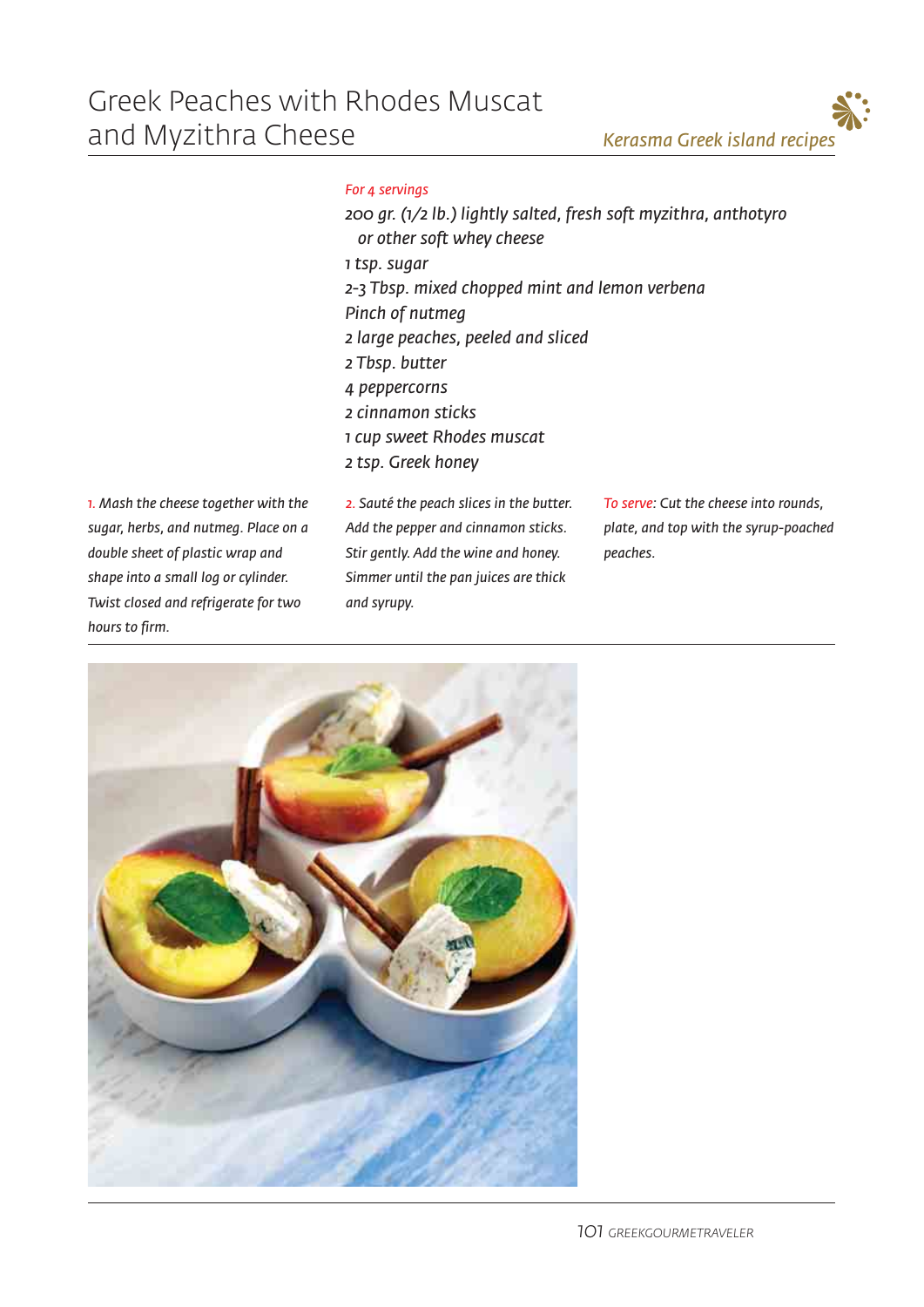## Greek Peaches with Rhodes Muscat and Myzithra Cheese



## *For 4 servings*

*200 gr. (1/2 lb.) lightly salted, fresh soft myzithra, anthotyro or other soft whey cheese 1 tsp. sugar 2-3 Tbsp. mixed chopped mint and lemon verbena Pinch of nutmeg 2 large peaches, peeled and sliced 2 Tbsp. butter 4 peppercorns 2 cinnamon sticks 1 cup sweet Rhodes muscat 2 tsp. Greek honey*

*1. Mash the cheese together with the sugar, herbs, and nutmeg. Place on a double sheet of plastic wrap and shape into a small log or cylinder. Twist closed and refrigerate for two hours to firm.*

*2. Sauté the peach slices in the butter. Add the pepper and cinnamon sticks. Stir gently. Add the wine and honey. Simmer until the pan juices are thick and syrupy.*

*To serve: Cut the cheese into rounds, plate, and top with the syrup-poached peaches.*

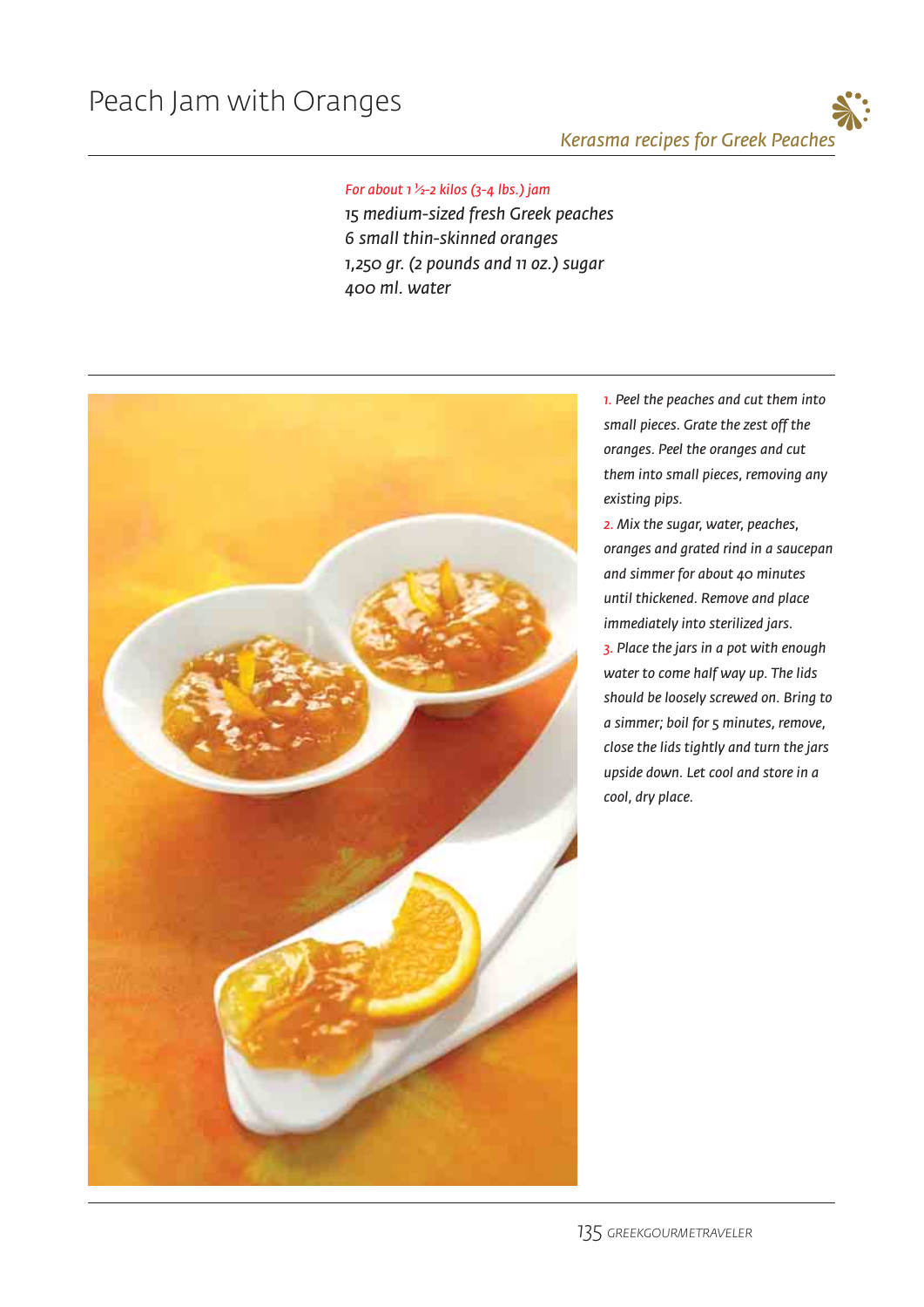## *For about 1 ½-2 kilos (3-4 lbs.) jam*

*15 medium-sized fresh Greek peaches 6 small thin-skinned oranges 1,250 gr. (2 pounds and 11 oz.) sugar 400 ml. water*



*1. Peel the peaches and cut them into small pieces. Grate the zest off the oranges. Peel the oranges and cut them into small pieces, removing any existing pips.*

*2. Mix the sugar, water, peaches, oranges and grated rind in a saucepan and simmer for about 40 minutes until thickened. Remove and place immediately into sterilized jars. 3. Place the jars in a pot with enough water to come half way up. The lids should be loosely screwed on. Bring to a simmer; boil for 5 minutes, remove, close the lids tightly and turn the jars upside down. Let cool and store in a cool, dry place.*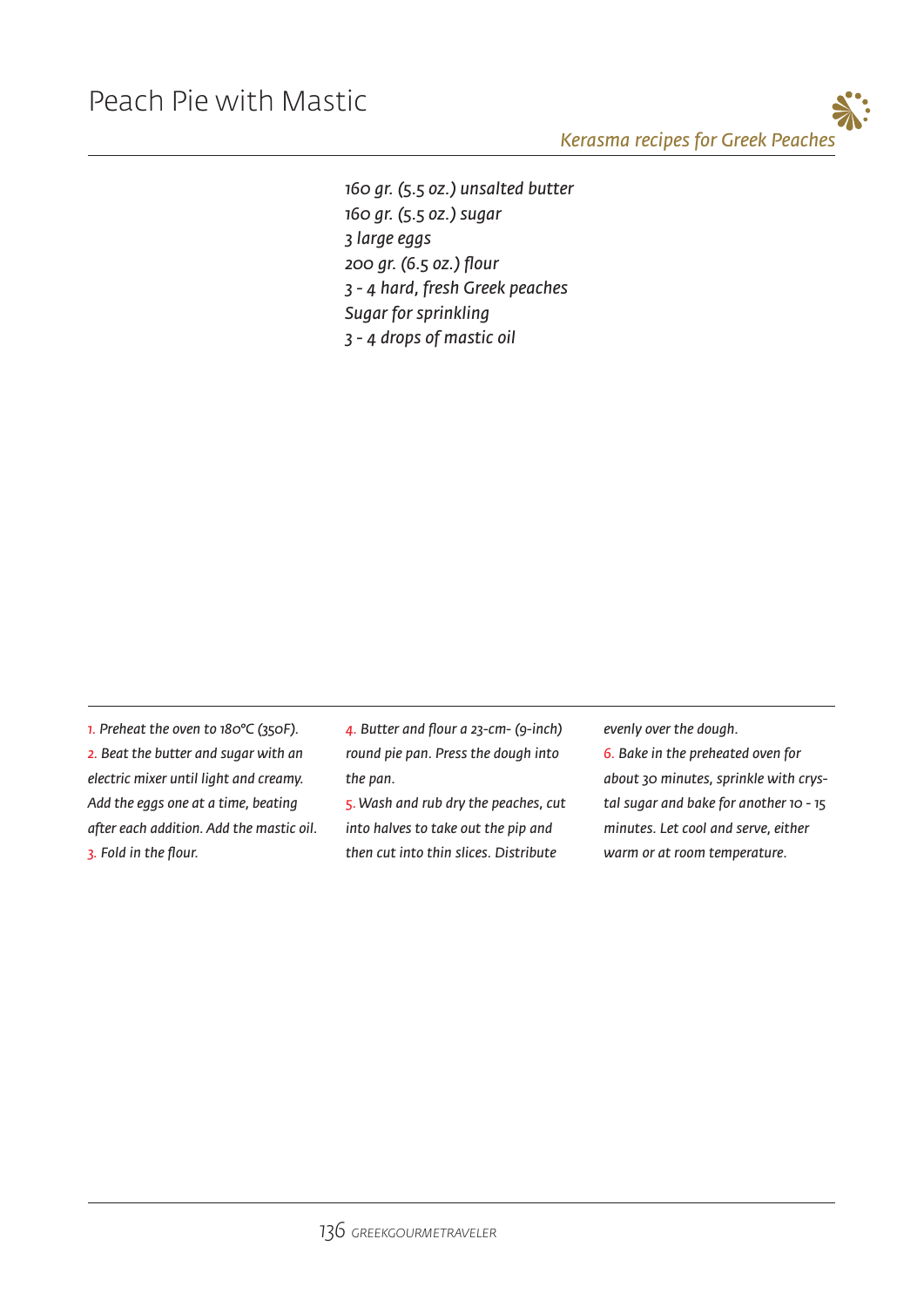*160 gr. (5.5 oz.) unsalted butter 160 gr. (5.5 oz.) sugar 3 large eggs 200 gr. (6.5 oz.) flour 3 - 4 hard, fresh Greek peaches Sugar for sprinkling 3 - 4 drops of mastic oil*

*1. Preheat the oven to 180°C (350F). 2. Beat the butter and sugar with an electric mixer until light and creamy. Add the eggs one at a time, beating after each addition. Add the mastic oil. 3. Fold in the flour.*

*4. Butter and flour a 23-cm- (9-inch) round pie pan. Press the dough into the pan.*

*5. Wash and rub dry the peaches, cut into halves to take out the pip and then cut into thin slices. Distribute*

*evenly over the dough.*

*6. Bake in the preheated oven for about 30 minutes, sprinkle with crystal sugar and bake for another 10 - 15 minutes. Let cool and serve, either warm or at room temperature.*